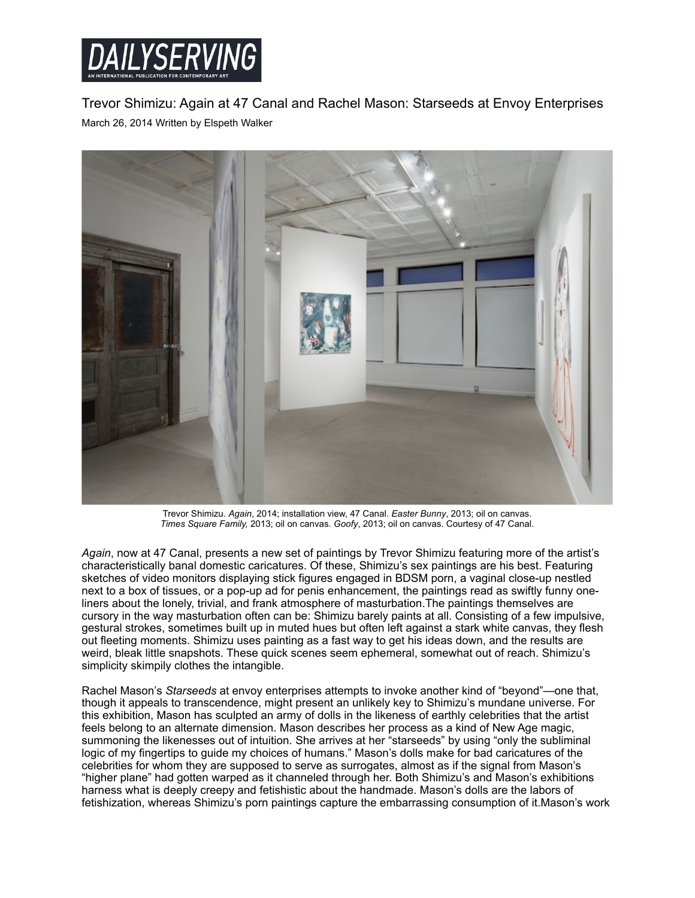

Trevor Shimizu: Again at 47 Canal and Rachel Mason: Starseeds at Envoy Enterprises March 26, 2014 Written by Elspeth Walker



Trevor Shimizu. *Again*, 2014; installation view, 47 Canal. *Easter Bunny*, 2013; oil on canvas. *Times Square Family,* 2013; oil on canvas. *Goofy*, 2013; oil on canvas. Courtesy of 47 Canal.

*Again*, now at 47 Canal, presents a new set of paintings by Trevor Shimizu featuring more of the artist's characteristically banal domestic caricatures. Of these, Shimizu's sex paintings are his best. Featuring sketches of video monitors displaying stick figures engaged in BDSM porn, a vaginal close-up nestled next to a box of tissues, or a pop-up ad for penis enhancement, the paintings read as swiftly funny oneliners about the lonely, trivial, and frank atmosphere of masturbation.The paintings themselves are cursory in the way masturbation often can be: Shimizu barely paints at all. Consisting of a few impulsive, gestural strokes, sometimes built up in muted hues but often left against a stark white canvas, they flesh out fleeting moments. Shimizu uses painting as a fast way to get his ideas down, and the results are weird, bleak little snapshots. These quick scenes seem ephemeral, somewhat out of reach. Shimizu's simplicity skimpily clothes the intangible.

Rachel Mason's *Starseeds* at envoy enterprises attempts to invoke another kind of "beyond"—one that, though it appeals to transcendence, might present an unlikely key to Shimizu's mundane universe. For this exhibition, Mason has sculpted an army of dolls in the likeness of earthly celebrities that the artist feels belong to an alternate dimension. Mason describes her process as a kind of New Age magic, summoning the likenesses out of intuition. She arrives at her "starseeds" by using "only the subliminal logic of my fingertips to guide my choices of humans." Mason's dolls make for bad caricatures of the celebrities for whom they are supposed to serve as surrogates, almost as if the signal from Mason's "higher plane" had gotten warped as it channeled through her. Both Shimizu's and Mason's exhibitions harness what is deeply creepy and fetishistic about the handmade. Mason's dolls are the labors of fetishization, whereas Shimizu's porn paintings capture the embarrassing consumption of it.Mason's work